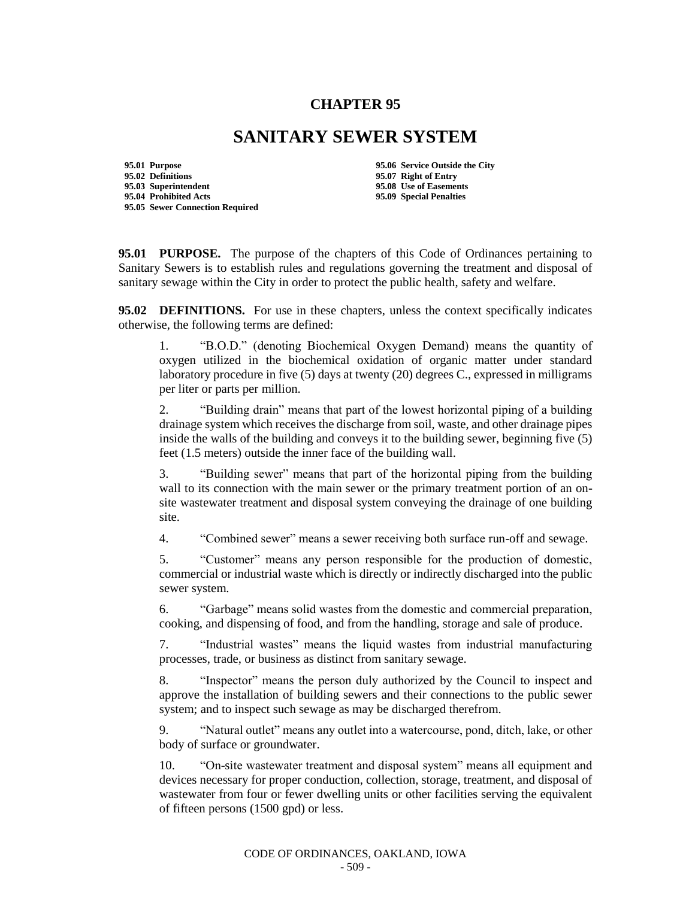## **CHAPTER 95**

## **SANITARY SEWER SYSTEM**

**95.01 Purpose 95.06 Service Outside the City 95.02 Definitions 95.07 Right of Entry 95.04 Prohibited Acts 95.09 Special Penalties 95.05 Sewer Connection Required**

**95.08 Use of Easements** 

**95.01 PURPOSE.** The purpose of the chapters of this Code of Ordinances pertaining to Sanitary Sewers is to establish rules and regulations governing the treatment and disposal of sanitary sewage within the City in order to protect the public health, safety and welfare.

**95.02 DEFINITIONS.** For use in these chapters, unless the context specifically indicates otherwise, the following terms are defined:

1. "B.O.D." (denoting Biochemical Oxygen Demand) means the quantity of oxygen utilized in the biochemical oxidation of organic matter under standard laboratory procedure in five (5) days at twenty (20) degrees C., expressed in milligrams per liter or parts per million.

2. "Building drain" means that part of the lowest horizontal piping of a building drainage system which receives the discharge from soil, waste, and other drainage pipes inside the walls of the building and conveys it to the building sewer, beginning five (5) feet (1.5 meters) outside the inner face of the building wall.

3. "Building sewer" means that part of the horizontal piping from the building wall to its connection with the main sewer or the primary treatment portion of an onsite wastewater treatment and disposal system conveying the drainage of one building site.

4. "Combined sewer" means a sewer receiving both surface run-off and sewage.

5. "Customer" means any person responsible for the production of domestic, commercial or industrial waste which is directly or indirectly discharged into the public sewer system.

6. "Garbage" means solid wastes from the domestic and commercial preparation, cooking, and dispensing of food, and from the handling, storage and sale of produce.

7. "Industrial wastes" means the liquid wastes from industrial manufacturing processes, trade, or business as distinct from sanitary sewage.

8. "Inspector" means the person duly authorized by the Council to inspect and approve the installation of building sewers and their connections to the public sewer system; and to inspect such sewage as may be discharged therefrom.

9. "Natural outlet" means any outlet into a watercourse, pond, ditch, lake, or other body of surface or groundwater.

10. "On-site wastewater treatment and disposal system" means all equipment and devices necessary for proper conduction, collection, storage, treatment, and disposal of wastewater from four or fewer dwelling units or other facilities serving the equivalent of fifteen persons (1500 gpd) or less.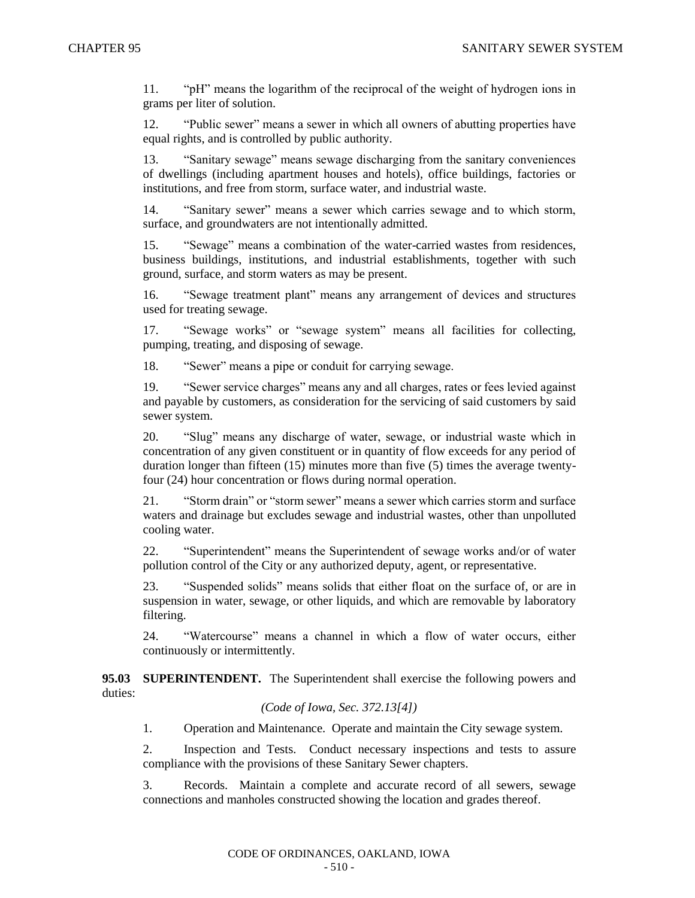11. "pH" means the logarithm of the reciprocal of the weight of hydrogen ions in grams per liter of solution.

12. "Public sewer" means a sewer in which all owners of abutting properties have equal rights, and is controlled by public authority.

13. "Sanitary sewage" means sewage discharging from the sanitary conveniences of dwellings (including apartment houses and hotels), office buildings, factories or institutions, and free from storm, surface water, and industrial waste.

14. "Sanitary sewer" means a sewer which carries sewage and to which storm, surface, and groundwaters are not intentionally admitted.

15. "Sewage" means a combination of the water-carried wastes from residences, business buildings, institutions, and industrial establishments, together with such ground, surface, and storm waters as may be present.

16. "Sewage treatment plant" means any arrangement of devices and structures used for treating sewage.

17. "Sewage works" or "sewage system" means all facilities for collecting, pumping, treating, and disposing of sewage.

18. "Sewer" means a pipe or conduit for carrying sewage.

19. "Sewer service charges" means any and all charges, rates or fees levied against and payable by customers, as consideration for the servicing of said customers by said sewer system.

20. "Slug" means any discharge of water, sewage, or industrial waste which in concentration of any given constituent or in quantity of flow exceeds for any period of duration longer than fifteen (15) minutes more than five (5) times the average twentyfour (24) hour concentration or flows during normal operation.

21. "Storm drain" or "storm sewer" means a sewer which carries storm and surface waters and drainage but excludes sewage and industrial wastes, other than unpolluted cooling water.

22. "Superintendent" means the Superintendent of sewage works and/or of water pollution control of the City or any authorized deputy, agent, or representative.

23. "Suspended solids" means solids that either float on the surface of, or are in suspension in water, sewage, or other liquids, and which are removable by laboratory filtering.

24. "Watercourse" means a channel in which a flow of water occurs, either continuously or intermittently.

**95.03 SUPERINTENDENT.** The Superintendent shall exercise the following powers and duties:

## *(Code of Iowa, Sec. 372.13[4])*

1. Operation and Maintenance. Operate and maintain the City sewage system.

2. Inspection and Tests. Conduct necessary inspections and tests to assure compliance with the provisions of these Sanitary Sewer chapters.

3. Records. Maintain a complete and accurate record of all sewers, sewage connections and manholes constructed showing the location and grades thereof.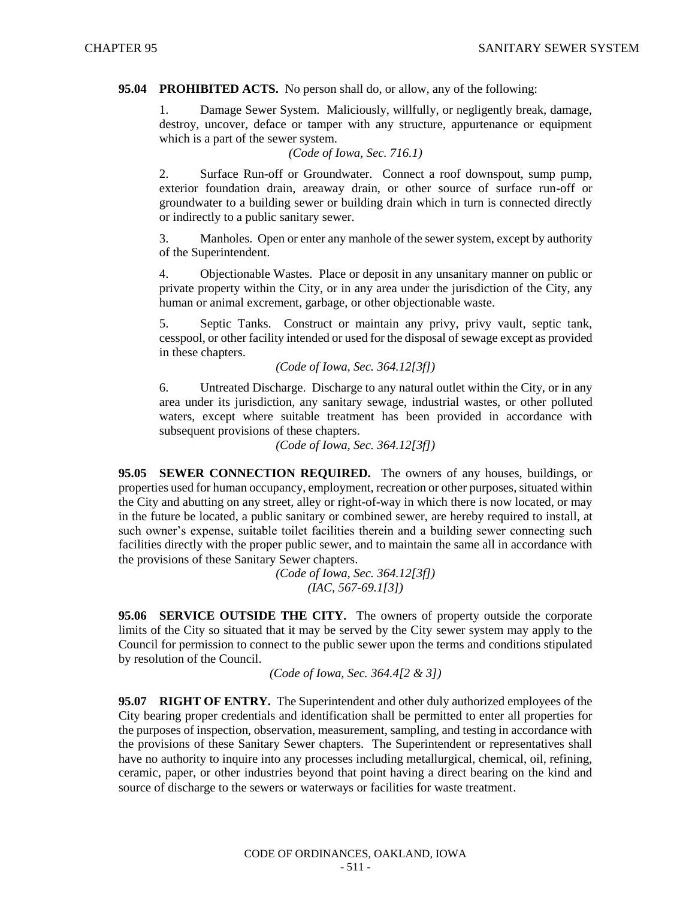## **95.04 PROHIBITED ACTS.** No person shall do, or allow, any of the following:

1. Damage Sewer System. Maliciously, willfully, or negligently break, damage, destroy, uncover, deface or tamper with any structure, appurtenance or equipment which is a part of the sewer system.

*(Code of Iowa, Sec. 716.1)*

2. Surface Run-off or Groundwater. Connect a roof downspout, sump pump, exterior foundation drain, areaway drain, or other source of surface run-off or groundwater to a building sewer or building drain which in turn is connected directly or indirectly to a public sanitary sewer.

3. Manholes. Open or enter any manhole of the sewer system, except by authority of the Superintendent.

4. Objectionable Wastes. Place or deposit in any unsanitary manner on public or private property within the City, or in any area under the jurisdiction of the City, any human or animal excrement, garbage, or other objectionable waste.

5. Septic Tanks. Construct or maintain any privy, privy vault, septic tank, cesspool, or other facility intended or used for the disposal of sewage except as provided in these chapters.

*(Code of Iowa, Sec. 364.12[3f])*

6. Untreated Discharge. Discharge to any natural outlet within the City, or in any area under its jurisdiction, any sanitary sewage, industrial wastes, or other polluted waters, except where suitable treatment has been provided in accordance with subsequent provisions of these chapters.

*(Code of Iowa, Sec. 364.12[3f])*

**95.05 SEWER CONNECTION REQUIRED.** The owners of any houses, buildings, or properties used for human occupancy, employment, recreation or other purposes, situated within the City and abutting on any street, alley or right-of-way in which there is now located, or may in the future be located, a public sanitary or combined sewer, are hereby required to install, at such owner's expense, suitable toilet facilities therein and a building sewer connecting such facilities directly with the proper public sewer, and to maintain the same all in accordance with the provisions of these Sanitary Sewer chapters.

> *(Code of Iowa, Sec. 364.12[3f]) (IAC, 567-69.1[3])*

**95.06 SERVICE OUTSIDE THE CITY.** The owners of property outside the corporate limits of the City so situated that it may be served by the City sewer system may apply to the Council for permission to connect to the public sewer upon the terms and conditions stipulated by resolution of the Council.

*(Code of Iowa, Sec. 364.4[2 & 3])*

**95.07 RIGHT OF ENTRY.** The Superintendent and other duly authorized employees of the City bearing proper credentials and identification shall be permitted to enter all properties for the purposes of inspection, observation, measurement, sampling, and testing in accordance with the provisions of these Sanitary Sewer chapters. The Superintendent or representatives shall have no authority to inquire into any processes including metallurgical, chemical, oil, refining, ceramic, paper, or other industries beyond that point having a direct bearing on the kind and source of discharge to the sewers or waterways or facilities for waste treatment.